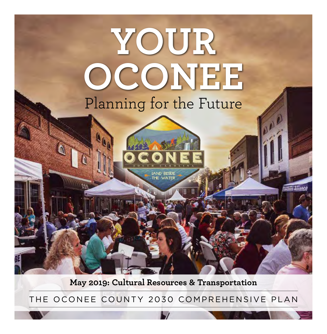

**May 2019: Cultural Resources & Transportation**

THE OCONEE COUNTY 2030 COMPREHENSIVE PLAN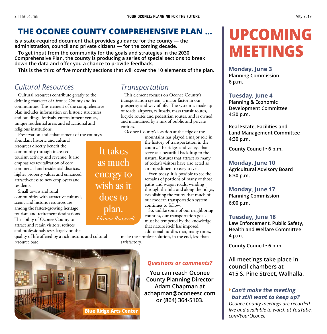# **THE OCONEE COUNTY COMPREHENSIVE PLAN ...**

**is a state-required document that provides guidance for the county — the administration, council and private citizens — for the coming decade.**

**To get input from the community for the goals and strategies in the 2030 Comprehensive Plan, the county is producing a series of special sections to break down the data and offer you a chance to provide feedback.**

**This is the third of five monthly sections that will cover the 10 elements of the plan.**

It takes

as much

energy to

wish as it

does to

plan.

– Eleanor Roosevelt

## *Cultural Resources*

Cultural resources contribute greatly to the defining character of Oconee County and its communities. This element of the comprehensive plan includes information on historic structures and buildings, festivals, entertainment venues, unique residential areas and educational and religious institutions.

Preservation and enhancement of the county's

abundant historic and cultural resources directly benefit the community through increased tourism activity and revenue. It also emphasizes revitalization of core commercial and residential districts, higher property values and enhanced attractiveness to new employers and residents.

Small towns and rural communities with attractive cultural, scenic and historic resources are among the fastest-growing heritage tourism and retirement destinations. The ability of Oconee County to attract and retain visitors, retirees and professionals rests largely on the

quality of life offered by a rich historic and cultural resource base.

# *Transportation*

This element focuses on Oconee County's transportation system, a major factor in our prosperity and way of life. The system is made up of roads, airports, railroads, mass transit routes, bicycle routes and pedestrian routes, and is owned and maintained by a mix of public and private entities.

Oconee County's location at the edge of the

mountains has played a major role in the history of transportation in the county. The ridges and valleys that serve as a beautiful backdrop to the natural features that attract so many of today's visitors have also acted as an impediment to easy travel.

Even today, it is possible to see the remains of portions of many of those paths and wagon roads, winding through the hills and along the ridges, establishing the routes that much of our modern transportation system continues to follow.

So, unlike some of our neighboring counties, our transportation goals must be tempered by the knowledge that nature itself has imposed additional hurdles that, many times,

make the simplest solution, in the end, less than satisfactory.



#### *Questions or comments?*

**You can reach Oconee County Planning Director Adam Chapman at achapman@oconeesc.com or (864) 364-5103.**

# **UPCOMING MEETINGS**

**Monday, June 3 Planning Commission 6 p.m.**

#### **Tuesday, June 4**

**Planning & Economic Development Committee 4:30 p.m.**

**Real Estate, Facilities and Land Management Committee 4:30 p.m.**

**County Council • 6 p.m.**

#### **Monday, June 10**

**Agricultural Advisory Board 6:30 p.m.**

#### **Monday, June 17**

**Planning Commission 6:00 p.m.**

#### **Tuesday, June 18**

**Law Enforcement, Public Safety, Health and Welfare Committee 4 p.m.**

**County Council • 6 p.m.**

**All meetings take place in council chambers at 415 S. Pine Street, Walhalla.**

#### ê*Can't make the meeting but still want to keep up?*

*Oconee County meetings are recorded live and available to watch at YouTube. com/YourOconee*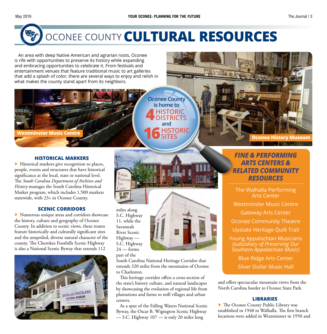

# OCONEE COUNTY**CULTURAL RESOURCES**

An area with deep Native American and agrarian roots, Oconee is rife with opportunities to preserve its history while expanding and embracing opportunities to celebrate it. From festivals and entertainment venues that feature traditional music to art galleries that add a splash of color, there are several ways to enjoy and relish in what makes the county stand apart from its neighbors.

> **Oconee County is home to 4HISTORIC CTDICTS 16HISTORIC SITES and**

#### **HISTORICAL MARKERS**

**Westminster Music Centre**

▶ Historical markers give recognition to places, people, events and structures that have historical significance at the local, state or national level. The *South Carolina Department of Archives and History* manages the South Carolina Historical Marker program, which includes 1,500 markers statewide, with 23+ in Oconee County.

#### **SCENIC CORRIDORS**

▶ Numerous unique areas and corridors showcase the history, culture and geography of Oconee County. In addition to scenic views, these routes feature historically and culturally significant sites and the unspoiled, diverse natural character of the county. The Cherokee Foothills Scenic Highway is also a National Scenic Byway that extends 112



miles along S.C. Highway 11, while the Savannah River Scenic Highway — S.C. Highway  $24 -$  forms part of the

Perfort Arts

TE MAR

South Carolina National Heritage Corridor that extends 320 miles from the mountains of Oconee to Charleston.

This heritage corridor offers a cross-section of the state's history culture, and natural landscapes by showcasing the evolution of regional life from plantations and farms to mill villages and urban centers.

As a spur of the Falling Waters National Scenic Byway, the Oscar B. Wigington Scenic Highway — S.C. Highway 107 — is only 20 miles long

#### *FINE & PERFORMING ARTS CENTERS & RELATED COMMUNITY RESOURCES*

**Oconee History Museum**

The Walhalla Performing Arts Center Westminster Music Centre Gateway Arts Center Oconee Community Theatre Upstate Heritage Quilt Trail Young Appalachian Musicians *(subsidiary of Preserving Our Southern Appalachian Music)* Blue Ridge Arts Center

Silver Dollar Music Hall

and offers spectacular mountain views from the North Carolina border to Oconee State Park.

#### **LIBRARIES**

▶ The Oconee County Public Library was established in 1948 in Walhalla. The first branch locations were added in Westminster in 1950 and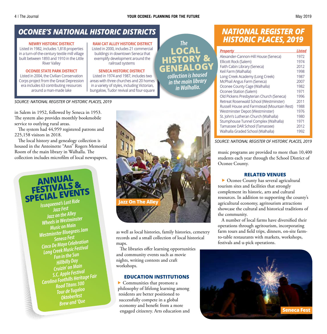**LOCAL**<br>HISTORY

*The*

*<u>collection is housed</u>* 

*in the main library in Walhalla.*

## *OCONEE'S NATIONAL HISTORIC DISTRICTS*

#### **NEWRY HISTORIC DISTRICT**

Listed in 1982, includes 1,818 properties in a turn-of-the-century textile mill village built between 1893 and 1910 in the Little River Valley

#### **OCONEE STATE PARK DISTRICT**

Listed in 2004, the Civilian Conservation Corps project from the Great Depression era includes 63 contributing resources around a man-made lake

**RAM CAT ALLEY HISTORIC DISTRICT** Listed in 2000, includes 21 commercial buildings in downtown Seneca that exemplify development around the railroad systems

#### **SENECA HISTORIC DISTRICT**

Listed in 1974 and 1987, includes two areas with three churches and 20 homes in a variety of styles, including Victorian, bungalow, Tudor revival and four-square

*SOURCE: NATIONAL REGISTER OF HISTORIC PLACES, 2019*

in Salem in 1952, followed by Seneca in 1953. The system also provides monthly bookmobile service to outlying rural areas.

The system had 44,959 registered patrons and 225,158 visitors in 2018.

The local history and genealogy collection is housed in the Antoinette "Ann" Rogers Memorial Room of the main library in Walhalla. The collection includes microfilm of local newspapers,

> **ANNUAL SPECIAL EVENTS** *Jazz Fest Jazz on the Alley Wheels in Westminster Music on Main Westminster Bluegrass Jam Seneca Fest Cinco De Mayo Celebration Long Creek Music Festival Fun in the Sun Hillbilly Day Cruizin' on Main S.C. Apple Festival Carolina Foothills Heritage Fair Road Titans 300 Tour de Tugaloo Oktoberfest Brew and 'Que*



as well as local histories, family histories, cemetery records and a small collection of local historical maps.

The libraries offer learning opportunities and community events such as movie nights, writing contests and craft workshops.

#### **EDUCATION INSTITUTIONS**

▶ Communities that promote a philosophy of lifelong learning among residents are better positioned to successfully compete in a global economy and benefit from a more engaged citizenry. Arts education and

## *NATIONAL REGISTER OF HISTORIC PLACES, 2019*

| <b>Property</b>                             | <b>Listed</b> |
|---------------------------------------------|---------------|
| Alexander-Cannon-Hill House (Seneca)        | 1972          |
| Ellicott Rock (Salem)                       | 1974          |
| Faith Cabin Library (Seneca)                | 2012          |
| Keil Farm (Walhalla)                        | 1998          |
| Long Creek Academy (Long Creek)             | 1987          |
| McPhail Angus Farm (Seneca)                 | 2007          |
| Oconee County Cage (Walhalla)               | 1982          |
| Oconee Station (Salem)                      | 1971          |
| Old Pickens Presbyterian Church (Seneca)    | 1996          |
| Retreat Rosenwald School (Westminster)      | 2011          |
| Russell House and Farmstead (Mountain Rest) | 1988          |
| Westminster Depot (Westminster)             | 1976          |
| St. John's Lutheran Church (Walhalla)       | 1980          |
| Stumphouse Tunnel Complex (Walhalla)        | 1971          |
| Tamassee DAR School (Tamassee)              | 2012          |
| Walhalla Graded School (Walhalla)           | 1992          |

*SOURCE: NATIONAL REGISTER OF HISTORIC PLACES, 2019*

music programs are provided to more than 10,400 students each year through the School District of Oconee County.

#### **RELATED VENUES**

▶ Oconee County has several agricultural tourism sites and facilities that strongly complement its historic, arts and cultural resources. In addition to supporting the county's agricultural economy, agritourism attractions showcase the cultural and historical traditions of the community.

A number of local farms have diversified their operations through agritourism, incorporating farm tours and field trips, dinners, on-site farmto-table restaurants with markets, workshops, festivals and u-pick operations.

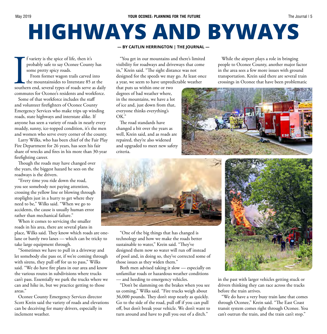# **HIGHWAYS AND BYWAYS**

f variety is the spice of life, then it's probably safe to say Oconee County has some pretty spicy roads.

souther From former wagon trails carved into the mountainsides to Interstate 85 at the southern end, several types of roads serve as daily commutes for Oconee's residents and workforce.

Some of that workforce includes the staff and volunteer firefighters of Oconee County Emergency Services who make trips up winding roads, state highways and interstate alike. If anyone has seen a variety of roads in nearly every muddy, sunny, ice-topped condition, it's the men and women who serve every corner of the county.

Larry Wilks, who has been chief of the Fair Play Fire Department for 26 years, has seen his fair share of wrecks and fires in his more than 30-year firefighting career.

Though the roads may have changed over the years, the biggest hazard he sees on the roadways is the drivers.

"Every time you ride down the road, you see somebody not paying attention, crossing the yellow line or blowing through stoplights just in a hurry to get where they need to be," Wilks said. "When we go to accidents, the cause is usually human error rather than mechanical failure."

When it comes to servicing the smaller roads in his area, there are several plans in place, Wilks said. They know which roads are onelane or barely two lanes — which can be tricky to take large equipment through.

"Sometimes we have to pull in a driveway and let somebody else pass or, if we're coming through with sirens, they pull off for us to pass," Wilks said. "We do have fire plans in our area and know the various routes in subdivisions where trucks can't pass. Essentially we park the trucks where we can and hike in, but we practice getting to those areas."

Oconee County Emergency Services director Scott Krein said the variety of roads and elevations can be deceiving for many drivers, especially in inclement weather.

#### **— BY CAITLIN HERRINGTON | THE JOURNAL —**

"You get in our mountains and there's limited visibility for roadways and driveways that come in," Krein said. "The sight distance was not designed for the speeds we may go. At least once a year, we seem to have unpredictable weather

that puts us within one or two degrees of bad weather where, in the mountains, we have a lot of ice and, just down from that, everyone thinks everything's OK."

The road standards have changed a bit over the years as well, Krein said, and as roads are repaired, they're also widened and upgraded to meet new safety criteria.

While the airport plays a role in bringing people to Oconee County, another major factor in the area sees a few more issues with ground transportation. Krein said there are several train crossings in Oconee that have been problematic





"One of the big things that has changed is technology and how we make the roads better sustainable to water," Krein said. "They've designed them now so water will run off instead of pool and, in doing so, they've corrected some of those issues as they widen them."

Both men advised taking it slow — especially on unfamiliar roads or hazardous weather conditions — and heeding to emergency vehicles.

"Don't be slamming on the brakes when you see us coming," Wilks said. "Fire trucks weigh about 36,000 pounds. They don't stop nearly as quickly. Go to the side of the road, pull off if you can pull off, but don't break your vehicle. We don't want to turn around and have to pull you out of a ditch."



in the past with larger vehicles getting stuck or drivers thinking they can race across the tracks before the train arrives.

"We do have a very busy train lane that comes through Oconee," Krein said. "The East Coast transit system comes right through Oconee. You can't outrun the train, and the train can't stop."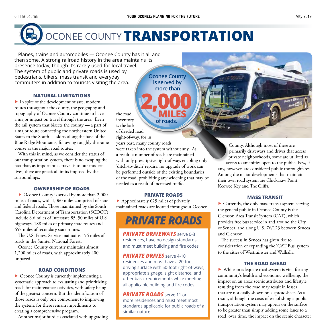

# OCONEE COUNTY**TRANSPORTATION**

Planes, trains and automobiles — Oconee County has it all and then some. A strong railroad history in the area maintains its presence today, though it's rarely used for local travel. The system of public and private roads is used by pedestrians, bikers, mass transit and everyday commuters in addition to tourists visiting the area.

#### **NATURAL LIMITATIONS**

▶ In spite of the development of safe, modern routes throughout the county, the geography and topography of Oconee County continue to have a major impact on travel through the area. Even the rail system that bisects the county — a part of a major route connecting the northeastern United States to the South — skirts along the base of the Blue Ridge Mountains, following roughly the same course as the major road routes.

With this in mind, as we consider the status of our transportation system, there is no escaping the fact that, as important as travel is to our modern lives, there are practical limits imposed by the surroundings.

#### **OWNERSHIP OF ROADS**

▶ Oconee County is served by more than 2,000 miles of roads, with 1,060 miles comprised of state and federal roads. Those maintained by the South Carolina Department of Transportation (SCDOT) include 8.6 miles of Interstate 85, 50 miles of U.S. highways, 188 miles of primary state routes and 657 miles of secondary state routes.

The U.S. Forest Service maintains 156 miles of roads in the Sumter National Forest.

Oconee County currently maintains almost 1,200 miles of roads, with approximately 400 unpaved.

#### **ROAD CONDITIONS**

▶ Oconee County is currently implementing a systematic approach to evaluating and prioritizing roads for maintenance activities, with safety being of the greatest concern. But the identification of those roads is only one component to improving the system, for there remain impediments to creating a comprehensive program.

Another major hurdle associated with upgrading

**Oconee County is served by more than**

the road inventory is the lack of deeded road right-of-way, for in years past, many county roads **2,000 of roads.**

were taken into the system without any. As a result, a number of roads are maintained with only prescriptive right-of-way, enabling only 'ditch-to-ditch' repairs; no upgrade of work can be performed outside of the existing boundaries of the road, prohibiting any widening that may be needed as a result of increased traffic.

#### **PRIVATE ROADS**

▶ Approximately 625 miles of privately maintained roads are located throughout Oconee

# *PRIVATE ROADS*

*PRIVATE DRIVEWAYS* serve 0-3 residences, have no design standards and must meet building and fire codes

**PRIVATE DRIVES** serve 4-10 residences and must have a 20-foot driving surface with 50-foot right-of-ways, appropriate signage, sight distance, and other basic requirements while meeting all applicable building and fire codes

*PRIVATE ROADS* serve 11 or more residences and must meet most standards applicable for public roads of a similar nature

County. Although most of these are primarily driveways and drives that access private neighborhoods, some are utilized as access to amenities open to the public. Few, if any, however, are considered public thoroughfares. Among the major developments that maintain their own road system are Chickasaw Point, Keowee Key and The Cliffs.

#### **MASS TRANSIT**

▶ Currently, the only mass transit system serving the general public in Oconee County is the Clemson Area Transit System (CAT), which provides free bus service in and around the City of Seneca, and along U.S. 76/123 between Seneca and Clemson.

The success in Seneca has given rise to consideration of expanding the 'CAT Bus' system to the cities of Westminster and Walhalla.

#### **THE ROAD AHEAD**

▶ While an adequate road system is vital for any community's health and economic wellbeing, the impact on an area's scenic attributes and lifestyle resulting from the road may result in losses that are not easily shown on a spreadsheet. As a result, although the costs of establishing a public transportation system may appear on the surface to be greater than simply adding some lanes to a road, over time, the impact on the scenic character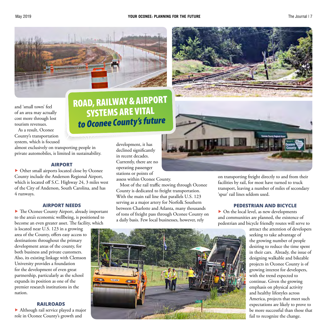



and 'small town' feel of an area may actually cost more through lost tourism revenues.

As a result, Oconee County's transportation system, which is focused

almost exclusively on transporting people in private automobiles, is limited in sustainability.

#### **AIRPORT**

▶ Other small airports located close by Oconee County include the Anderson Regional Airport, which is located off S.C. Highway 24, 3 miles west of the City of Anderson, South Carolina, and has 4 runways.

#### **AIRPORT NEEDS**

▶ The Oconee County Airport, already important to the area's economic wellbeing, is positioned to become an even greater asset. The facility, which

is located near U.S. 123 in a growing area of the County, offers easy access to destinations throughout the primary development areas of the county, for both business and private customers. Also, its existing linkage with Clemson University provides a foundation for the development of even great partnership, particularly as the school expands its position as one of the premier research institutions in the nation.

#### **RAILROADS**

▶ Although rail service played a major role in Oconee County's growth and

# ROAD, RAILWAY & AIRPORT SYSTEMS ARE VITAL *to Oconee County's future*

development, it has declined significantly in recent decades. Currently, there are no operating passenger stations or points of

assess within Oconee County.

Most of the rail traffic moving through Oconee County is dedicated to freight transportation. With the main rail line that parallels U.S. 123 serving as a major artery for Norfolk Southern between Charlotte and Atlanta, many thousands of tons of freight pass through Oconee County on a daily basis. Few local businesses, however, rely

on transporting freight directly to and from their facilities by rail, for most have turned to truck transport, leaving a number of miles of secondary 'spur' rail lines seldom used.

#### **PEDESTRIAN AND BICYCLE**

▶ On the local level, as new developments and communities are planned, the existence of pedestrian and bicycle friendly routes will serve to

attract the attention of developers seeking to take advantage of the growing number of people desiring to reduce the time spent in their cars. Already, the issue of designing walkable and bikeable projects in Oconee County is of growing interest for developers, with the trend expected to continue. Given the growing emphasis on physical activity and healthy lifestyles across America, projects that meet such expectations are likely to prove to be more successful than those that fail to recognize the change.